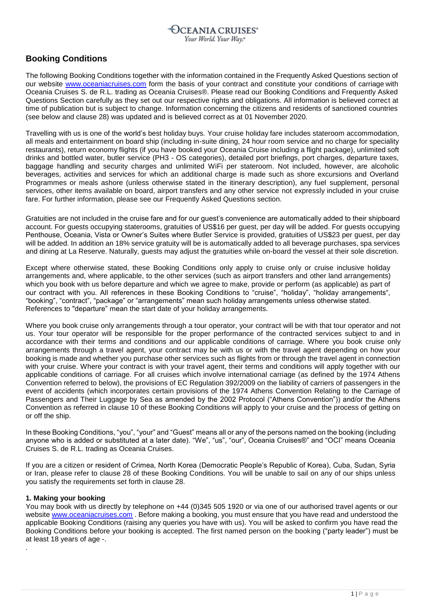# **CEANIA CRUISES<sup>®</sup>** Your World. Your Way.<sup>®</sup>

# **Booking Conditions**

The following Booking Conditions together with the information contained in the Frequently Asked Questions section of our website [www.oceaniacruises.com](http://www.oceaniacruises.com/) form the basis of your contract and constitute your conditions of carriage with Oceania Cruises S. de R.L. trading as Oceania Cruises®. Please read our Booking Conditions and Frequently Asked Questions Section carefully as they set out our respective rights and obligations. All information is believed correct at time of publication but is subject to change. Information concerning the citizens and residents of sanctioned countries (see below and clause 28) was updated and is believed correct as at 01 November 2020.

Travelling with us is one of the world's best holiday buys. Your cruise holiday fare includes stateroom accommodation, all meals and entertainment on board ship (including in-suite dining, 24 hour room service and no charge for speciality restaurants), return economy flights (if you have booked your Oceania Cruise including a flight package), unlimited soft drinks and bottled water, butler service (PH3 - OS categories), detailed port briefings, port charges, departure taxes, baggage handling and security charges and unlimited WiFi per stateroom. Not included, however, are alcoholic beverages, activities and services for which an additional charge is made such as shore excursions and Overland Programmes or meals ashore (unless otherwise stated in the itinerary description), any fuel supplement, personal services, other items available on board, airport transfers and any other service not expressly included in your cruise fare. For further information, please see our Frequently Asked Questions section.

Gratuities are not included in the cruise fare and for our guest's convenience are automatically added to their shipboard account. For guests occupying staterooms, gratuities of US\$16 per guest, per day will be added. For guests occupying Penthouse, Oceania, Vista or Owner's Suites where Butler Service is provided, gratuities of US\$23 per guest, per day will be added. In addition an 18% service gratuity will be is automatically added to all beverage purchases, spa services and dining at La Reserve. Naturally, guests may adjust the gratuities while on-board the vessel at their sole discretion.

Except where otherwise stated, these Booking Conditions only apply to cruise only or cruise inclusive holiday arrangements and, where applicable, to the other services (such as airport transfers and other land arrangements) which you book with us before departure and which we agree to make, provide or perform (as applicable) as part of our contract with you. All references in these Booking Conditions to "cruise", "holiday", "holiday arrangements", "booking", "contract", "package" or "arrangements" mean such holiday arrangements unless otherwise stated. References to "departure" mean the start date of your holiday arrangements.

Where you book cruise only arrangements through a tour operator, your contract will be with that tour operator and not us. Your tour operator will be responsible for the proper performance of the contracted services subject to and in accordance with their terms and conditions and our applicable conditions of carriage. Where you book cruise only arrangements through a travel agent, your contract may be with us or with the travel agent depending on how your booking is made and whether you purchase other services such as flights from or through the travel agent in connection with your cruise. Where your contract is with your travel agent, their terms and conditions will apply together with our applicable conditions of carriage. For all cruises which involve international carriage (as defined by the 1974 Athens Convention referred to below), the provisions of EC Regulation 392/2009 on the liability of carriers of passengers in the event of accidents (which incorporates certain provisions of the 1974 Athens Convention Relating to the Carriage of Passengers and Their Luggage by Sea as amended by the 2002 Protocol ("Athens Convention")) and/or the Athens Convention as referred in clause 10 of these Booking Conditions will apply to your cruise and the process of getting on or off the ship.

In these Booking Conditions, "you", "your" and "Guest" means all or any of the persons named on the booking (including anyone who is added or substituted at a later date). "We", "us", "our", Oceania Cruises®" and "OCI" means Oceania Cruises S. de R.L. trading as Oceania Cruises.

If you are a citizen or resident of Crimea, North Korea (Democratic People's Republic of Korea), Cuba, Sudan, Syria or Iran, please refer to clause 28 of these Booking Conditions. You will be unable to sail on any of our ships unless you satisfy the requirements set forth in clause 28.

# **1. Making your booking**

.

You may book with us directly by telephone on +44 (0)345 505 1920 or via one of our authorised travel agents or our website [www.oceaniacruises.com](http://www.oceaniacruises.com/) . Before making a booking, you must ensure that you have read and understood the applicable Booking Conditions (raising any queries you have with us). You will be asked to confirm you have read the Booking Conditions before your booking is accepted. The first named person on the booking ("party leader") must be at least 18 years of age -.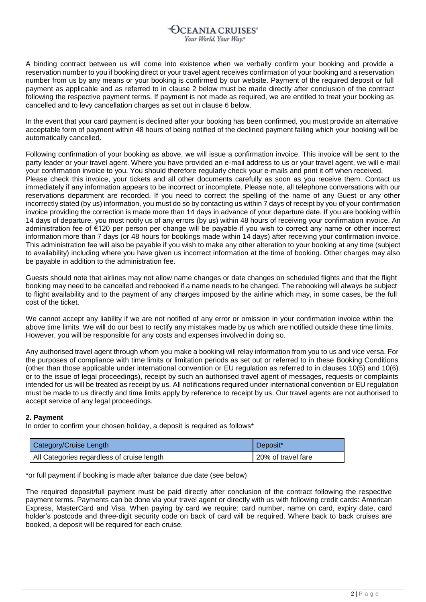# CEANIA CRUISES<sup>®</sup> Your World. Your Way.\*

A binding contract between us will come into existence when we verbally confirm your booking and provide a reservation number to you if booking direct or your travel agent receives confirmation of your booking and a reservation number from us by any means or your booking is confirmed by our website. Payment of the required deposit or full payment as applicable and as referred to in clause 2 below must be made directly after conclusion of the contract following the respective payment terms. If payment is not made as required, we are entitled to treat your booking as cancelled and to levy cancellation charges as set out in clause 6 below.

In the event that your card payment is declined after your booking has been confirmed, you must provide an alternative acceptable form of payment within 48 hours of being notified of the declined payment failing which your booking will be automatically cancelled.

Following confirmation of your booking as above, we will issue a confirmation invoice. This invoice will be sent to the party leader or your travel agent. Where you have provided an e-mail address to us or your travel agent, we will e-mail your confirmation invoice to you. You should therefore regularly check your e-mails and print it off when received. Please check this invoice, your tickets and all other documents carefully as soon as you receive them. Contact us immediately if any information appears to be incorrect or incomplete. Please note, all telephone conversations with our reservations department are recorded. If you need to correct the spelling of the name of any Guest or any other incorrectly stated (by us) information, you must do so by contacting us within 7 days of receipt by you of your confirmation invoice providing the correction is made more than 14 days in advance of your departure date. If you are booking within 14 days of departure, you must notify us of any errors (by us) within 48 hours of receiving your confirmation invoice. An administration fee of €120 per person per change will be payable if you wish to correct any name or other incorrect information more than 7 days (or 48 hours for bookings made within 14 days) after receiving your confirmation invoice. This administration fee will also be payable if you wish to make any other alteration to your booking at any time (subject to availability) including where you have given us incorrect information at the time of booking. Other charges may also be payable in addition to the administration fee.

Guests should note that airlines may not allow name changes or date changes on scheduled flights and that the flight booking may need to be cancelled and rebooked if a name needs to be changed. The rebooking will always be subject to flight availability and to the payment of any charges imposed by the airline which may, in some cases, be the full cost of the ticket.

We cannot accept any liability if we are not notified of any error or omission in your confirmation invoice within the above time limits. We will do our best to rectify any mistakes made by us which are notified outside these time limits. However, you will be responsible for any costs and expenses involved in doing so.

Any authorised travel agent through whom you make a booking will relay information from you to us and vice versa. For the purposes of compliance with time limits or limitation periods as set out or referred to in these Booking Conditions (other than those applicable under international convention or EU regulation as referred to in clauses 10(5) and 10(6) or to the issue of legal proceedings), receipt by such an authorised travel agent of messages, requests or complaints intended for us will be treated as receipt by us. All notifications required under international convention or EU regulation must be made to us directly and time limits apply by reference to receipt by us. Our travel agents are not authorised to accept service of any legal proceedings.

# **2. Payment**

In order to confirm your chosen holiday, a deposit is required as follows\*

| Category/Cruise Length                     | Deposit*           |
|--------------------------------------------|--------------------|
| All Categories regardless of cruise length | 20% of travel fare |

\*or full payment if booking is made after balance due date (see below)

The required deposit/full payment must be paid directly after conclusion of the contract following the respective payment terms. Payments can be done via your travel agent or directly with us with following credit cards: American Express, MasterCard and Visa. When paying by card we require: card number, name on card, expiry date, card holder's postcode and three-digit security code on back of card will be required. Where back to back cruises are booked, a deposit will be required for each cruise.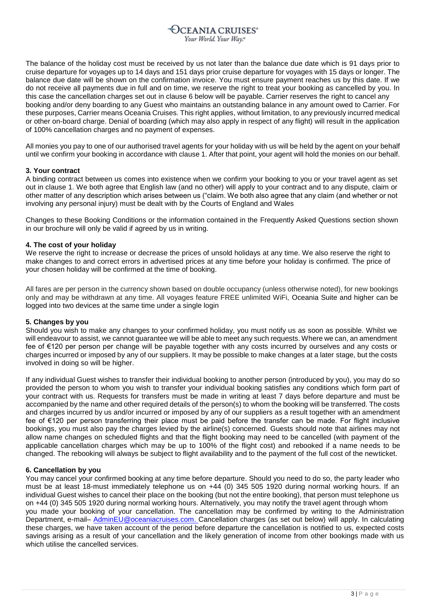The balance of the holiday cost must be received by us not later than the balance due date which is 91 days prior to cruise departure for voyages up to 14 days and 151 days prior cruise departure for voyages with 15 days or longer. The balance due date will be shown on the confirmation invoice. You must ensure payment reaches us by this date. If we do not receive all payments due in full and on time, we reserve the right to treat your booking as cancelled by you. In this case the cancellation charges set out in clause 6 below will be payable. Carrier reserves the right to cancel any booking and/or deny boarding to any Guest who maintains an outstanding balance in any amount owed to Carrier. For these purposes, Carrier means Oceania Cruises. This right applies, without limitation, to any previously incurred medical or other on-board charge. Denial of boarding (which may also apply in respect of any flight) will result in the application of 100% cancellation charges and no payment of expenses.

All monies you pay to one of our authorised travel agents for your holiday with us will be held by the agent on your behalf until we confirm your booking in accordance with clause 1. After that point, your agent will hold the monies on our behalf.

# **3. Your contract**

A binding contract between us comes into existence when we confirm your booking to you or your travel agent as set out in clause 1. We both agree that English law (and no other) will apply to your contract and to any dispute, claim or other matter of any description which arises between us ("claim. We both also agree that any claim (and whether or not involving any personal injury) must be dealt with by the Courts of England and Wales

Changes to these Booking Conditions or the information contained in the Frequently Asked Questions section shown in our brochure will only be valid if agreed by us in writing.

# **4. The cost of your holiday**

We reserve the right to increase or decrease the prices of unsold holidays at any time. We also reserve the right to make changes to and correct errors in advertised prices at any time before your holiday is confirmed. The price of your chosen holiday will be confirmed at the time of booking.

All fares are per person in the currency shown based on double occupancy (unless otherwise noted), for new bookings only and may be withdrawn at any time. All voyages feature FREE unlimited WiFi, Oceania Suite and higher can be logged into two devices at the same time under a single login

# **5. Changes by you**

Should you wish to make any changes to your confirmed holiday, you must notify us as soon as possible. Whilst we will endeavour to assist, we cannot guarantee we will be able to meet any such requests. Where we can, an amendment fee of €120 per person per change will be payable together with any costs incurred by ourselves and any costs or charges incurred or imposed by any of our suppliers. It may be possible to make changes at a later stage, but the costs involved in doing so will be higher.

If any individual Guest wishes to transfer their individual booking to another person (introduced by you), you may do so provided the person to whom you wish to transfer your individual booking satisfies any conditions which form part of your contract with us. Requests for transfers must be made in writing at least 7 days before departure and must be accompanied by the name and other required details of the person(s) to whom the booking will be transferred. The costs and charges incurred by us and/or incurred or imposed by any of our suppliers as a result together with an amendment fee of €120 per person transferring their place must be paid before the transfer can be made. For flight inclusive bookings, you must also pay the charges levied by the airline(s) concerned. Guests should note that airlines may not allow name changes on scheduled flights and that the flight booking may need to be cancelled (with payment of the applicable cancellation charges which may be up to 100% of the flight cost) and rebooked if a name needs to be changed. The rebooking will always be subject to flight availability and to the payment of the full cost of the newticket.

# **6. Cancellation by you**

You may cancel your confirmed booking at any time before departure. Should you need to do so, the party leader who must be at least 18-must immediately telephone us on +44 (0) 345 505 1920 during normal working hours. If an individual Guest wishes to cancel their place on the booking (but not the entire booking), that person must telephone us on +44 (0) 345 505 1920 during normal working hours. Alternatively, you may notify the travel agent through whom you made your booking of your cancellation. The cancellation may be confirmed by writing to the Administration Department, e-mail– [AdminEU@oceaniacruises.com. C](mailto:AdminEU@oceaniacruises.com.)ancellation charges (as set out below) will apply. In calculating these charges, we have taken account of the period before departure the cancellation is notified to us, expected costs savings arising as a result of your cancellation and the likely generation of income from other bookings made with us which utilise the cancelled services.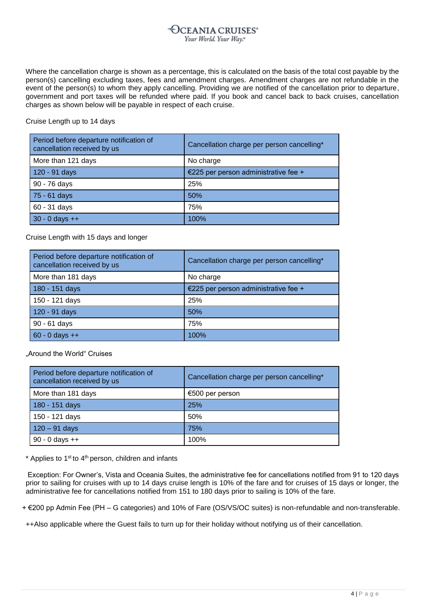Where the cancellation charge is shown as a percentage, this is calculated on the basis of the total cost payable by the person(s) cancelling excluding taxes, fees and amendment charges. Amendment charges are not refundable in the event of the person(s) to whom they apply cancelling. Providing we are notified of the cancellation prior to departure, government and port taxes will be refunded where paid. If you book and cancel back to back cruises, cancellation charges as shown below will be payable in respect of each cruise.

# Cruise Length up to 14 days

| Period before departure notification of<br>cancellation received by us | Cancellation charge per person cancelling* |
|------------------------------------------------------------------------|--------------------------------------------|
| More than 121 days                                                     | No charge                                  |
| 120 - 91 days                                                          | €225 per person administrative fee +       |
| 90 - 76 days                                                           | 25%                                        |
| 75 - 61 days                                                           | 50%                                        |
| 60 - 31 days                                                           | 75%                                        |
| $30 - 0$ days $++$                                                     | 100%                                       |

# Cruise Length with 15 days and longer

| Period before departure notification of<br>cancellation received by us | Cancellation charge per person cancelling* |
|------------------------------------------------------------------------|--------------------------------------------|
| More than 181 days                                                     | No charge                                  |
| 180 - 151 days                                                         | €225 per person administrative fee +       |
| 150 - 121 days                                                         | 25%                                        |
| 120 - 91 days                                                          | 50%                                        |
| 90 - 61 days                                                           | 75%                                        |
| $60 - 0$ days $++$                                                     | 100%                                       |

"Around the World" Cruises

| Period before departure notification of<br>cancellation received by us | Cancellation charge per person cancelling* |
|------------------------------------------------------------------------|--------------------------------------------|
| More than 181 days                                                     | €500 per person                            |
| 180 - 151 days                                                         | 25%                                        |
| 150 - 121 days                                                         | 50%                                        |
| $120 - 91$ days                                                        | 75%                                        |
| $90 - 0$ days $++$                                                     | 100%                                       |

 $*$  Applies to 1<sup>st</sup> to 4<sup>th</sup> person, children and infants

Exception: For Owner's, Vista and Oceania Suites, the administrative fee for cancellations notified from 91 to 120 days prior to sailing for cruises with up to 14 days cruise length is 10% of the fare and for cruises of 15 days or longer, the administrative fee for cancellations notified from 151 to 180 days prior to sailing is 10% of the fare.

+ €200 pp Admin Fee (PH – G categories) and 10% of Fare (OS/VS/OC suites) is non-refundable and non-transferable.

++Also applicable where the Guest fails to turn up for their holiday without notifying us of their cancellation.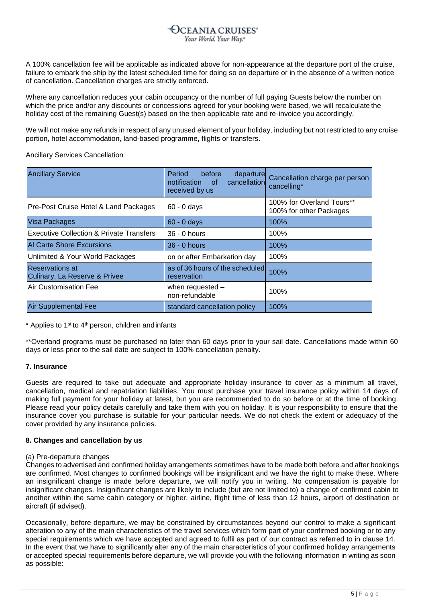A 100% cancellation fee will be applicable as indicated above for non-appearance at the departure port of the cruise, failure to embark the ship by the latest scheduled time for doing so on departure or in the absence of a written notice of cancellation. Cancellation charges are strictly enforced.

Where any cancellation reduces your cabin occupancy or the number of full paying Guests below the number on which the price and/or any discounts or concessions agreed for your booking were based, we will recalculate the holiday cost of the remaining Guest(s) based on the then applicable rate and re-invoice you accordingly.

We will not make any refunds in respect of any unused element of your holiday, including but not restricted to any cruise portion, hotel accommodation, land-based programme, flights or transfers.

Ancillary Services Cancellation

| <b>Ancillary Service</b>                                | Period<br>before<br>departure<br>cancellation<br>notification<br>⊟ of<br>received by us | Cancellation charge per person<br>cancelling*        |
|---------------------------------------------------------|-----------------------------------------------------------------------------------------|------------------------------------------------------|
| Pre-Post Cruise Hotel & Land Packages                   | $60 - 0$ days                                                                           | 100% for Overland Tours**<br>100% for other Packages |
| <b>Visa Packages</b>                                    | $60 - 0$ days                                                                           | 100%                                                 |
| <b>Executive Collection &amp; Private Transfers</b>     | $36 - 0$ hours                                                                          | 100%                                                 |
| <b>Al Carte Shore Excursions</b>                        | 36 - 0 hours                                                                            | 100%                                                 |
| Unlimited & Your World Packages                         | on or after Embarkation day                                                             | 100%                                                 |
| <b>Reservations at</b><br>Culinary, La Reserve & Privee | as of 36 hours of the scheduled<br>reservation                                          | 100%                                                 |
| Air Customisation Fee                                   | when requested -<br>non-refundable                                                      | 100%                                                 |
| <b>Air Supplemental Fee</b>                             | standard cancellation policy                                                            | 100%                                                 |

 $*$  Applies to 1<sup>st</sup> to 4<sup>th</sup> person, children and infants

\*\*Overland programs must be purchased no later than 60 days prior to your sail date. Cancellations made within 60 days or less prior to the sail date are subject to 100% cancellation penalty.

# **7. Insurance**

Guests are required to take out adequate and appropriate holiday insurance to cover as a minimum all travel, cancellation, medical and repatriation liabilities. You must purchase your travel insurance policy within 14 days of making full payment for your holiday at latest, but you are recommended to do so before or at the time of booking. Please read your policy details carefully and take them with you on holiday. It is your responsibility to ensure that the insurance cover you purchase is suitable for your particular needs. We do not check the extent or adequacy of the cover provided by any insurance policies.

# **8. Changes and cancellation by us**

# (a) Pre-departure changes

Changes to advertised and confirmed holiday arrangements sometimes have to be made both before and after bookings are confirmed. Most changes to confirmed bookings will be insignificant and we have the right to make these. Where an insignificant change is made before departure, we will notify you in writing. No compensation is payable for insignificant changes. Insignificant changes are likely to include (but are not limited to) a change of confirmed cabin to another within the same cabin category or higher, airline, flight time of less than 12 hours, airport of destination or aircraft (if advised).

Occasionally, before departure, we may be constrained by circumstances beyond our control to make a significant alteration to any of the main characteristics of the travel services which form part of your confirmed booking or to any special requirements which we have accepted and agreed to fulfil as part of our contract as referred to in clause 14. In the event that we have to significantly alter any of the main characteristics of your confirmed holiday arrangements or accepted special requirements before departure, we will provide you with the following information in writing as soon as possible: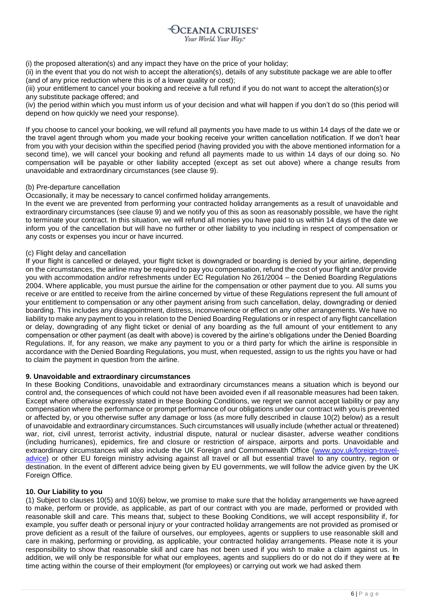(i) the proposed alteration(s) and any impact they have on the price of your holiday;

(ii) in the event that you do not wish to accept the alteration(s), details of any substitute package we are able to offer (and of any price reduction where this is of a lower quality or cost);

(iii) your entitlement to cancel your booking and receive a full refund if you do not want to accept the alteration(s)or any substitute package offered; and

(iv) the period within which you must inform us of your decision and what will happen if you don't do so (this period will depend on how quickly we need your response).

If you choose to cancel your booking, we will refund all payments you have made to us within 14 days of the date we or the travel agent through whom you made your booking receive your written cancellation notification. If we don't hear from you with your decision within the specified period (having provided you with the above mentioned information for a second time), we will cancel your booking and refund all payments made to us within 14 days of our doing so. No compensation will be payable or other liability accepted (except as set out above) where a change results from unavoidable and extraordinary circumstances (see clause 9).

# (b) Pre-departure cancellation

Occasionally, it may be necessary to cancel confirmed holiday arrangements.

In the event we are prevented from performing your contracted holiday arrangements as a result of unavoidable and extraordinary circumstances (see clause 9) and we notify you of this as soon as reasonably possible, we have the right to terminate your contract. In this situation, we will refund all monies you have paid to us within 14 days of the date we inform you of the cancellation but will have no further or other liability to you including in respect of compensation or any costs or expenses you incur or have incurred.

# (c) Flight delay and cancellation

If your flight is cancelled or delayed, your flight ticket is downgraded or boarding is denied by your airline, depending on the circumstances, the airline may be required to pay you compensation, refund the cost of your flight and/or provide you with accommodation and/or refreshments under EC Regulation No 261/2004 – the Denied Boarding Regulations 2004. Where applicable, you must pursue the airline for the compensation or other payment due to you. All sums you receive or are entitled to receive from the airline concerned by virtue of these Regulations represent the full amount of your entitlement to compensation or any other payment arising from such cancellation, delay, downgrading or denied boarding. This includes any disappointment, distress, inconvenience or effect on any other arrangements. We have no liability to make any payment to you in relation to the Denied Boarding Regulations or in respect of any flight cancellation or delay, downgrading of any flight ticket or denial of any boarding as the full amount of your entitlement to any compensation or other payment (as dealt with above) is covered by the airline's obligations under the Denied Boarding Regulations. If, for any reason, we make any payment to you or a third party for which the airline is responsible in accordance with the Denied Boarding Regulations, you must, when requested, assign to us the rights you have or had to claim the payment in question from the airline.

# **9. Unavoidable and extraordinary circumstances**

In these Booking Conditions, unavoidable and extraordinary circumstances means a situation which is beyond our control and, the consequences of which could not have been avoided even if all reasonable measures had been taken. Except where otherwise expressly stated in these Booking Conditions, we regret we cannot accept liability or pay any compensation where the performance or prompt performance of our obligations under our contract with youis prevented or affected by, or you otherwise suffer any damage or loss (as more fully described in clause 10(2) below) as a result of unavoidable and extraordinary circumstances. Such circumstances will usually include (whether actual or threatened) war, riot, civil unrest, terrorist activity, industrial dispute, natural or nuclear disaster, adverse weather conditions (including hurricanes), epidemics, fire and closure or restriction of airspace, airports and ports. Unavoidable and extraordinary circumstances will also include the UK Foreign and Commonwealth Office [\(www.gov.uk/foreign-travel](http://www.gov.uk/foreign-travel-advice)[advice\)](http://www.gov.uk/foreign-travel-advice) or other EU foreign ministry advising against all travel or all but essential travel to any country, region or destination. In the event of different advice being given by EU governments, we will follow the advice given by the UK Foreign Office.

# **10. Our Liability to you**

(1) Subject to clauses 10(5) and 10(6) below, we promise to make sure that the holiday arrangements we haveagreed to make, perform or provide, as applicable, as part of our contract with you are made, performed or provided with reasonable skill and care. This means that, subject to these Booking Conditions, we will accept responsibility if, for example, you suffer death or personal injury or your contracted holiday arrangements are not provided as promised or prove deficient as a result of the failure of ourselves, our employees, agents or suppliers to use reasonable skill and care in making, performing or providing, as applicable, your contracted holiday arrangements. Please note it is your responsibility to show that reasonable skill and care has not been used if you wish to make a claim against us. In addition, we will only be responsible for what our employees, agents and suppliers do or do not do if they were at te time acting within the course of their employment (for employees) or carrying out work we had asked them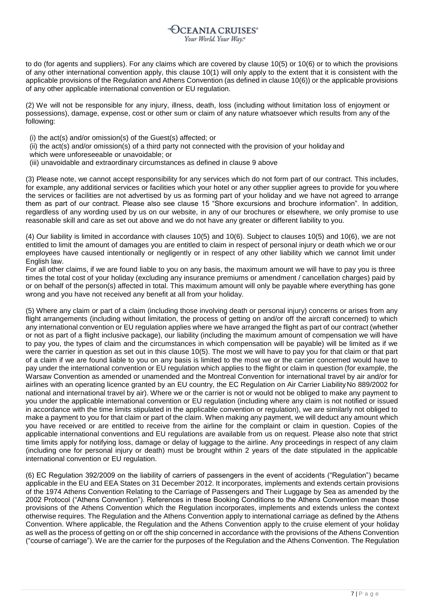to do (for agents and suppliers). For any claims which are covered by clause 10(5) or 10(6) or to which the provisions of any other international convention apply, this clause 10(1) will only apply to the extent that it is consistent with the applicable provisions of the Regulation and Athens Convention (as defined in clause 10(6)) or the applicable provisions of any other applicable international convention or EU regulation.

(2) We will not be responsible for any injury, illness, death, loss (including without limitation loss of enjoyment or possessions), damage, expense, cost or other sum or claim of any nature whatsoever which results from any of the following:

(i) the act(s) and/or omission(s) of the Guest(s) affected; or

- (ii) the act(s) and/or omission(s) of a third party not connected with the provision of your holiday and
- which were unforeseeable or unavoidable; or
- (iii) unavoidable and extraordinary circumstances as defined in clause 9 above

(3) Please note, we cannot accept responsibility for any services which do not form part of our contract. This includes, for example, any additional services or facilities which your hotel or any other supplier agrees to provide for you where the services or facilities are not advertised by us as forming part of your holiday and we have not agreed to arrange them as part of our contract. Please also see clause 15 "Shore excursions and brochure information". In addition, regardless of any wording used by us on our website, in any of our brochures or elsewhere, we only promise to use reasonable skill and care as set out above and we do not have any greater or different liability to you.

(4) Our liability is limited in accordance with clauses 10(5) and 10(6). Subject to clauses 10(5) and 10(6), we are not entitled to limit the amount of damages you are entitled to claim in respect of personal injury or death which we or our employees have caused intentionally or negligently or in respect of any other liability which we cannot limit under English law.

For all other claims, if we are found liable to you on any basis, the maximum amount we will have to pay you is three times the total cost of your holiday (excluding any insurance premiums or amendment / cancellation charges) paid by or on behalf of the person(s) affected in total. This maximum amount will only be payable where everything has gone wrong and you have not received any benefit at all from your holiday.

(5) Where any claim or part of a claim (including those involving death or personal injury) concerns or arises from any flight arrangements (including without limitation, the process of getting on and/or off the aircraft concerned) to which any international convention or EU regulation applies where we have arranged the flight as part of our contract (whether or not as part of a flight inclusive package), our liability (including the maximum amount of compensation we will have to pay you, the types of claim and the circumstances in which compensation will be payable) will be limited as if we were the carrier in question as set out in this clause 10(5). The most we will have to pay you for that claim or that part of a claim if we are found liable to you on any basis is limited to the most we or the carrier concerned would have to pay under the international convention or EU regulation which applies to the flight or claim in question (for example, the Warsaw Convention as amended or unamended and the Montreal Convention for international travel by air and/or for airlines with an operating licence granted by an EU country, the EC Regulation on Air Carrier LiabilityNo 889/2002 for national and international travel by air). Where we or the carrier is not or would not be obliged to make any payment to you under the applicable international convention or EU regulation (including where any claim is not notified or issued in accordance with the time limits stipulated in the applicable convention or regulation), we are similarly not obliged to make a payment to you for that claim or part of the claim. When making any payment, we will deduct any amount which you have received or are entitled to receive from the airline for the complaint or claim in question. Copies of the applicable international conventions and EU regulations are available from us on request. Please also note that strict time limits apply for notifying loss, damage or delay of luggage to the airline. Any proceedings in respect of any claim (including one for personal injury or death) must be brought within 2 years of the date stipulated in the applicable international convention or EU regulation.

(6) EC Regulation 392/2009 on the liability of carriers of passengers in the event of accidents ("Regulation") became applicable in the EU and EEA States on 31 December 2012. It incorporates, implements and extends certain provisions of the 1974 Athens Convention Relating to the Carriage of Passengers and Their Luggage by Sea as amended by the 2002 Protocol ("Athens Convention"). References in these Booking Conditions to the Athens Convention mean those provisions of the Athens Convention which the Regulation incorporates, implements and extends unless the context otherwise requires. The Regulation and the Athens Convention apply to international carriage as defined by the Athens Convention. Where applicable, the Regulation and the Athens Convention apply to the cruise element of your holiday as well as the process of getting on or off the ship concerned in accordance with the provisions of the Athens Convention ("course of carriage"). We are the carrier for the purposes of the Regulation and the Athens Convention. The Regulation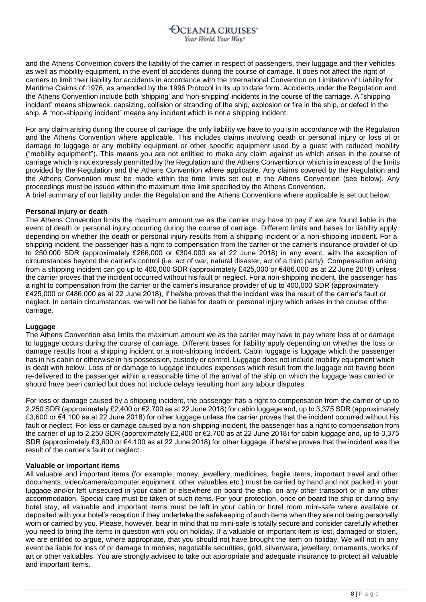and the Athens Convention covers the liability of the carrier in respect of passengers, their luggage and their vehicles as well as mobility equipment, in the event of accidents during the course of carriage. It does not affect the right of carriers to limit their liability for accidents in accordance with the International Convention on Limitation of Liability for Maritime Claims of 1976, as amended by the 1996 Protocol in its up to date form. Accidents under the Regulation and the Athens Convention include both 'shipping' and 'non-shipping' incidents in the course of the carriage. A "shipping incident" means shipwreck, capsizing, collision or stranding of the ship, explosion or fire in the ship, or defect in the ship. A "non-shipping incident" means any incident which is not a shipping incident.

For any claim arising during the course of carriage, the only liability we have to you is in accordance with the Regulation and the Athens Convention where applicable. This includes claims involving death or personal injury or loss of or damage to luggage or any mobility equipment or other specific equipment used by a guest with reduced mobility ("mobility equipment"). This means you are not entitled to make any claim against us which arises in the course of carriage which is not expressly permitted by the Regulation and the Athens Convention or which is inexcess of the limits provided by the Regulation and the Athens Convention where applicable. Any claims covered by the Regulation and the Athens Convention must be made within the time limits set out in the Athens Convention (see below). Any proceedings must be issued within the maximum time limit specified by the Athens Convention.

A brief summary of our liability under the Regulation and the Athens Conventions where applicable is set out below.

# **Personal injury or death**

The Athens Convention limits the maximum amount we as the carrier may have to pay if we are found liable in the event of death or personal injury occurring during the course of carriage. Different limits and bases for liability apply depending on whether the death or personal injury results from a shipping incident or a non-shipping incident. For a shipping incident, the passenger has a right to compensation from the carrier or the carrier's insurance provider of up to 250,000 SDR (approximately £266,000 or €304.000 as at 22 June 2018) in any event, with the exception of circumstances beyond the carrier's control (i.e. act of war, natural disaster, act of a third party). Compensation arising from a shipping incident can go up to 400,000 SDR (approximately £425,000 or €486.000 as at 22 June 2018) unless the carrier proves that the incident occurred without his fault or neglect. For a non-shipping incident, the passenger has a right to compensation from the carrier or the carrier's insurance provider of up to 400,000 SDR (approximately £425,000 or €486.000 as at 22 June 2018), if he/she proves that the incident was the result of the carrier's fault or neglect. In certain circumstances, we will not be liable for death or personal injury which arises in the course of the carriage.

# **Luggage**

The Athens Convention also limits the maximum amount we as the carrier may have to pay where loss of or damage to luggage occurs during the course of carriage. Different bases for liability apply depending on whether the loss or damage results from a shipping incident or a non-shipping incident. Cabin luggage is luggage which the passenger has in his cabin or otherwise in his possession, custody or control. Luggage does not include mobility equipment which is dealt with below. Loss of or damage to luggage includes expenses which result from the luggage not having been re-delivered to the passenger within a reasonable time of the arrival of the ship on which the luggage was carried or should have been carried but does not include delays resulting from any labour disputes.

For loss or damage caused by a shipping incident, the passenger has a right to compensation from the carrier of up to 2,250 SDR (approximately £2,400 or €2.700 as at 22 June 2018) for cabin luggage and, up to 3,375 SDR (approximately £3,600 or €4.100 as at 22 June 2018) for other luggage unless the carrier proves that the incident occurred without his fault or neglect. For loss or damage caused by a non-shipping incident, the passenger has a right to compensation from the carrier of up to 2,250 SDR (approximately £2,400 or €2.700 as at 22 June 2018) for cabin luggage and, up to 3,375 SDR (approximately £3,600 or €4.100 as at 22 June 2018) for other luggage, if he/she proves that the incident was the result of the carrier's fault or neglect.

# **Valuable or important items**

All valuable and important items (for example, money, jewellery, medicines, fragile items, important travel and other documents, video/camera/computer equipment, other valuables etc.) must be carried by hand and not packed in your luggage and/or left unsecured in your cabin or elsewhere on board the ship, on any other transport or in any other accommodation. Special care must be taken of such items. For your protection, once on board the ship or during any hotel stay, all valuable and important items must be left in your cabin or hotel room mini-safe where available or deposited with your hotel's reception if they undertake the safekeeping of such items when they are not being personally worn or carried by you. Please, however, bear in mind that no mini-safe is totally secure and consider carefully whether you need to bring the items in question with you on holiday. If a valuable or important item is lost, damaged or stolen, we are entitled to argue, where appropriate, that you should not have brought the item on holiday. We will not in any event be liable for loss of or damage to monies, negotiable securities, gold, silverware, jewellery, ornaments, works of art or other valuables. You are strongly advised to take out appropriate and adequate insurance to protect all valuable and important items.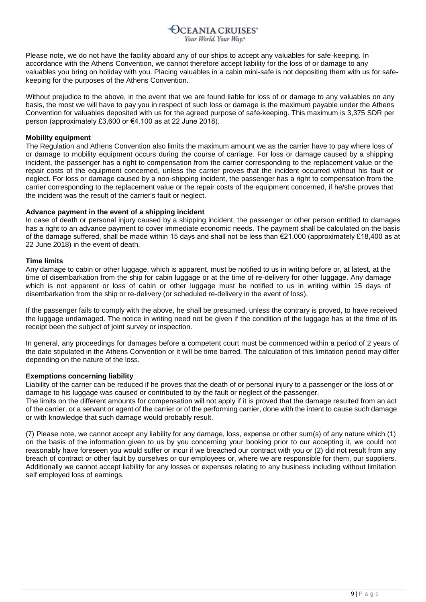#### **)**CEANIA CRUISES° Your World, Your Way.\*

Please note, we do not have the facility aboard any of our ships to accept any valuables for safe-keeping. In accordance with the Athens Convention, we cannot therefore accept liability for the loss of or damage to any valuables you bring on holiday with you. Placing valuables in a cabin mini-safe is not depositing them with us for safekeeping for the purposes of the Athens Convention.

Without prejudice to the above, in the event that we are found liable for loss of or damage to any valuables on any basis, the most we will have to pay you in respect of such loss or damage is the maximum payable under the Athens Convention for valuables deposited with us for the agreed purpose of safe-keeping. This maximum is 3,375 SDR per person (approximately £3,600 or €4.100 as at 22 June 2018).

# **Mobility equipment**

The Regulation and Athens Convention also limits the maximum amount we as the carrier have to pay where loss of or damage to mobility equipment occurs during the course of carriage. For loss or damage caused by a shipping incident, the passenger has a right to compensation from the carrier corresponding to the replacement value or the repair costs of the equipment concerned, unless the carrier proves that the incident occurred without his fault or neglect. For loss or damage caused by a non-shipping incident, the passenger has a right to compensation from the carrier corresponding to the replacement value or the repair costs of the equipment concerned, if he/she proves that the incident was the result of the carrier's fault or neglect.

# **Advance payment in the event of a shipping incident**

In case of death or personal injury caused by a shipping incident, the passenger or other person entitled to damages has a right to an advance payment to cover immediate economic needs. The payment shall be calculated on the basis of the damage suffered, shall be made within 15 days and shall not be less than €21.000 (approximately £18,400 as at 22 June 2018) in the event of death.

# **Time limits**

Any damage to cabin or other luggage, which is apparent, must be notified to us in writing before or, at latest, at the time of disembarkation from the ship for cabin luggage or at the time of re-delivery for other luggage. Any damage which is not apparent or loss of cabin or other luggage must be notified to us in writing within 15 days of disembarkation from the ship or re-delivery (or scheduled re-delivery in the event of loss).

If the passenger fails to comply with the above, he shall be presumed, unless the contrary is proved, to have received the luggage undamaged. The notice in writing need not be given if the condition of the luggage has at the time of its receipt been the subject of joint survey or inspection.

In general, any proceedings for damages before a competent court must be commenced within a period of 2 years of the date stipulated in the Athens Convention or it will be time barred. The calculation of this limitation period may differ depending on the nature of the loss.

# **Exemptions concerning liability**

Liability of the carrier can be reduced if he proves that the death of or personal injury to a passenger or the loss of or damage to his luggage was caused or contributed to by the fault or neglect of the passenger.

The limits on the different amounts for compensation will not apply if it is proved that the damage resulted from an act of the carrier, or a servant or agent of the carrier or of the performing carrier, done with the intent to cause such damage or with knowledge that such damage would probably result.

(7) Please note, we cannot accept any liability for any damage, loss, expense or other sum(s) of any nature which (1) on the basis of the information given to us by you concerning your booking prior to our accepting it, we could not reasonably have foreseen you would suffer or incur if we breached our contract with you or (2) did not result from any breach of contract or other fault by ourselves or our employees or, where we are responsible for them, our suppliers. Additionally we cannot accept liability for any losses or expenses relating to any business including without limitation self employed loss of earnings.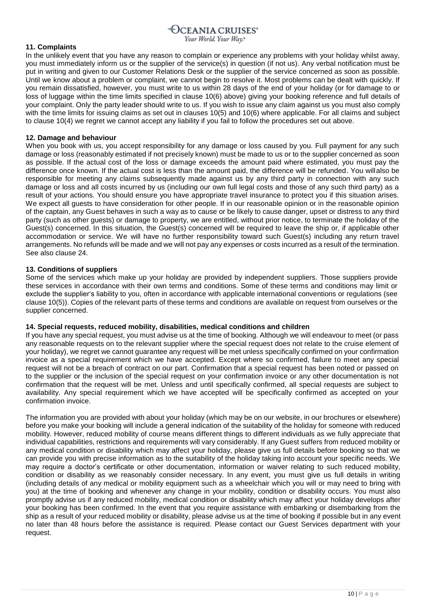# **11. Complaints**

In the unlikely event that you have any reason to complain or experience any problems with your holiday whilst away, you must immediately inform us or the supplier of the service(s) in question (if not us). Any verbal notification must be put in writing and given to our Customer Relations Desk or the supplier of the service concerned as soon as possible. Until we know about a problem or complaint, we cannot begin to resolve it. Most problems can be dealt with quickly. If you remain dissatisfied, however, you must write to us within 28 days of the end of your holiday (or for damage to or loss of luggage within the time limits specified in clause 10(6) above) giving your booking reference and full details of your complaint. Only the party leader should write to us. If you wish to issue any claim against us you must also comply with the time limits for issuing claims as set out in clauses 10(5) and 10(6) where applicable. For all claims and subject to clause 10(4) we regret we cannot accept any liability if you fail to follow the procedures set out above.

# **12. Damage and behaviour**

When you book with us, you accept responsibility for any damage or loss caused by you. Full payment for any such damage or loss (reasonably estimated if not precisely known) must be made to us or to the supplier concerned as soon as possible. If the actual cost of the loss or damage exceeds the amount paid where estimated, you must pay the difference once known. If the actual cost is less than the amount paid, the difference will be refunded. You willalso be responsible for meeting any claims subsequently made against us by any third party in connection with any such damage or loss and all costs incurred by us (including our own full legal costs and those of any such third party) as a result of your actions. You should ensure you have appropriate travel insurance to protect you if this situation arises. We expect all guests to have consideration for other people. If in our reasonable opinion or in the reasonable opinion of the captain, any Guest behaves in such a way as to cause or be likely to cause danger, upset or distress to any third party (such as other guests) or damage to property, we are entitled, without prior notice, to terminate the holiday of the Guest(s) concerned. In this situation, the Guest(s) concerned will be required to leave the ship or, if applicable other accommodation or service. We will have no further responsibility toward such Guest(s) including any return travel arrangements. No refunds will be made and we will not pay any expenses or costs incurred as a result of the termination. See also clause 24.

# **13. Conditions of suppliers**

Some of the services which make up your holiday are provided by independent suppliers. Those suppliers provide these services in accordance with their own terms and conditions. Some of these terms and conditions may limit or exclude the supplier's liability to you, often in accordance with applicable international conventions or regulations (see clause 10(5)). Copies of the relevant parts of these terms and conditions are available on request from ourselves or the supplier concerned.

# **14. Special requests, reduced mobility, disabilities, medical conditions and children**

If you have any special request, you must advise us at the time of booking. Although we will endeavour to meet (or pass any reasonable requests on to the relevant supplier where the special request does not relate to the cruise element of your holiday), we regret we cannot guarantee any request will be met unless specifically confirmed on your confirmation invoice as a special requirement which we have accepted. Except where so confirmed, failure to meet any special request will not be a breach of contract on our part. Confirmation that a special request has been noted or passed on to the supplier or the inclusion of the special request on your confirmation invoice or any other documentation is not confirmation that the request will be met. Unless and until specifically confirmed, all special requests are subject to availability. Any special requirement which we have accepted will be specifically confirmed as accepted on your confirmation invoice.

The information you are provided with about your holiday (which may be on our website, in our brochures or elsewhere) before you make your booking will include a general indication of the suitability of the holiday for someone with reduced mobility. However, reduced mobility of course means different things to different individuals as we fully appreciate that individual capabilities, restrictions and requirements will vary considerably. If any Guest suffers from reduced mobility or any medical condition or disability which may affect your holiday, please give us full details before booking so that we can provide you with precise information as to the suitability of the holiday taking into account your specific needs. We may require a doctor's certificate or other documentation, information or waiver relating to such reduced mobility, condition or disability as we reasonably consider necessary. In any event, you must give us full details in writing (including details of any medical or mobility equipment such as a wheelchair which you will or may need to bring with you) at the time of booking and whenever any change in your mobility, condition or disability occurs. You must also promptly advise us if any reduced mobility, medical condition or disability which may affect your holiday develops after your booking has been confirmed. In the event that you require assistance with embarking or disembarking from the ship as a result of your reduced mobility or disability, please advise us at the time of booking if possible but in any event no later than 48 hours before the assistance is required. Please contact our Guest Services department with your request.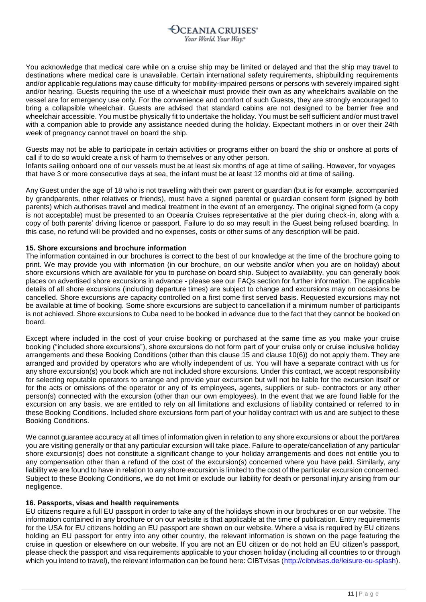You acknowledge that medical care while on a cruise ship may be limited or delayed and that the ship may travel to destinations where medical care is unavailable. Certain international safety requirements, shipbuilding requirements and/or applicable regulations may cause difficulty for mobility-impaired persons or persons with severely impaired sight and/or hearing. Guests requiring the use of a wheelchair must provide their own as any wheelchairs available on the vessel are for emergency use only. For the convenience and comfort of such Guests, they are strongly encouraged to bring a collapsible wheelchair. Guests are advised that standard cabins are not designed to be barrier free and wheelchair accessible. You must be physically fit to undertake the holiday. You must be self sufficient and/or must travel with a companion able to provide any assistance needed during the holiday. Expectant mothers in or over their 24th week of pregnancy cannot travel on board the ship.

Guests may not be able to participate in certain activities or programs either on board the ship or onshore at ports of call if to do so would create a risk of harm to themselves or any other person.

Infants sailing onboard one of our vessels must be at least six months of age at time of sailing. However, for voyages that have 3 or more consecutive days at sea, the infant must be at least 12 months old at time of sailing.

Any Guest under the age of 18 who is not travelling with their own parent or guardian (but is for example, accompanied by grandparents, other relatives or friends), must have a signed parental or guardian consent form (signed by both parents) which authorises travel and medical treatment in the event of an emergency. The original signed form (a copy is not acceptable) must be presented to an Oceania Cruises representative at the pier during check-in, along with a copy of both parents' driving licence or passport. Failure to do so may result in the Guest being refused boarding. In this case, no refund will be provided and no expenses, costs or other sums of any description will be paid.

# **15. Shore excursions and brochure information**

The information contained in our brochures is correct to the best of our knowledge at the time of the brochure going to print. We may provide you with information (in our brochure, on our website and/or when you are on holiday) about shore excursions which are available for you to purchase on board ship. Subject to availability, you can generally book places on advertised shore excursions in advance - please see our FAQs section for further information. The applicable details of all shore excursions (including departure times) are subject to change and excursions may on occasions be cancelled. Shore excursions are capacity controlled on a first come first served basis. Requested excursions may not be available at time of booking. Some shore excursions are subject to cancellation if a minimum number of participants is not achieved. Shore excursions to Cuba need to be booked in advance due to the fact that they cannot be booked on board.

Except where included in the cost of your cruise booking or purchased at the same time as you make your cruise booking ("included shore excursions"), shore excursions do not form part of your cruise only or cruise inclusive holiday arrangements and these Booking Conditions (other than this clause 15 and clause 10(6)) do not apply them. They are arranged and provided by operators who are wholly independent of us. You will have a separate contract with us for any shore excursion(s) you book which are not included shore excursions. Under this contract, we accept responsibility for selecting reputable operators to arrange and provide your excursion but will not be liable for the excursion itself or for the acts or omissions of the operator or any of its employees, agents, suppliers or sub- contractors or any other person(s) connected with the excursion (other than our own employees). In the event that we are found liable for the excursion on any basis, we are entitled to rely on all limitations and exclusions of liability contained or referred to in these Booking Conditions. Included shore excursions form part of your holiday contract with us and are subject to these Booking Conditions.

We cannot guarantee accuracy at all times of information given in relation to any shore excursions or about the port/area you are visiting generally or that any particular excursion will take place. Failure to operate/cancellation of any particular shore excursion(s) does not constitute a significant change to your holiday arrangements and does not entitle you to any compensation other than a refund of the cost of the excursion(s) concerned where you have paid. Similarly, any liability we are found to have in relation to any shore excursion is limited to the cost of the particular excursion concerned. Subject to these Booking Conditions, we do not limit or exclude our liability for death or personal injury arising from our negligence.

# **16. Passports, visas and health requirements**

EU citizens require a full EU passport in order to take any of the holidays shown in our brochures or on our website. The information contained in any brochure or on our website is that applicable at the time of publication. Entry requirements for the USA for EU citizens holding an EU passport are shown on our website. Where a visa is required by EU citizens holding an EU passport for entry into any other country, the relevant information is shown on the page featuring the cruise in question or elsewhere on our website. If you are not an EU citizen or do not hold an EU citizen's passport, please check the passport and visa requirements applicable to your chosen holiday (including all countries to or through which you intend to travel), the relevant information can be found here: CIBTvisas [\(http://cibtvisas.de/leisure-eu-splash\)](http://cibtvisas.de/leisure-eu-splash).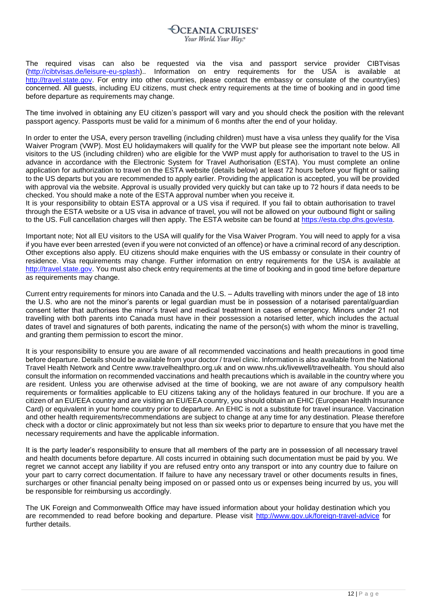# **CEANIA CRUISES<sup>®</sup>** Your World. Your Way.<sup>®</sup>

The required visas can also be requested via the visa and passport service provider CIBTvisas [\(http://cibtvisas.de/leisure-eu-splash\)](http://cibtvisas.de/leisure-eu-splash).. Information on entry requirements for the USA is available at [http://travel.state.gov. F](http://travel.state.gov/)or entry into other countries, please contact the embassy or consulate of the country(ies) concerned. All guests, including EU citizens, must check entry requirements at the time of booking and in good time before departure as requirements may change.

The time involved in obtaining any EU citizen's passport will vary and you should check the position with the relevant passport agency. Passports must be valid for a minimum of 6 months after the end of your holiday.

In order to enter the USA, every person travelling (including children) must have a visa unless they qualify for the Visa Waiver Program (VWP). Most EU holidaymakers will qualify for the VWP but please see the important note below. All visitors to the US (including children) who are eligible for the VWP must apply for authorisation to travel to the US in advance in accordance with the Electronic System for Travel Authorisation (ESTA). You must complete an online application for authorization to travel on the ESTA website (details below) at least 72 hours before your flight or sailing to the US departs but you are recommended to apply earlier. Providing the application is accepted, you will be provided with approval via the website. Approval is usually provided very quickly but can take up to 72 hours if data needs to be checked. You should make a note of the ESTA approval number when you receive it.

It is your responsibility to obtain ESTA approval or a US visa if required. If you fail to obtain authorisation to travel through the ESTA website or a US visa in advance of travel, you will not be allowed on your outbound flight or sailing to the US. Full cancellation charges will then apply. The ESTA website can be found at [https://esta.cbp.dhs.gov/esta.](https://esta.cbp.dhs.gov/esta)

Important note; Not all EU visitors to the USA will qualify for the Visa Waiver Program. You will need to apply for a visa if you have ever been arrested (even if you were not convicted of an offence) or have a criminal record of any description. Other exceptions also apply. EU citizens should make enquiries with the US embassy or consulate in their country of residence. Visa requirements may change. Further information on entry requirements for the USA is available at [http://travel.state.gov. Y](http://travel.state.gov/)ou must also check entry requirements at the time of booking and in good time before departure as requirements may change.

Current entry requirements for minors into Canada and the U.S. – Adults travelling with minors under the age of 18 into the U.S. who are not the minor's parents or legal guardian must be in possession of a notarised parental/guardian consent letter that authorises the minor's travel and medical treatment in cases of emergency. Minors under 21 not travelling with both parents into Canada must have in their possession a notarised letter, which includes the actual dates of travel and signatures of both parents, indicating the name of the person(s) with whom the minor is travelling, and granting them permission to escort the minor.

It is your responsibility to ensure you are aware of all recommended vaccinations and health precautions in good time before departure. Details should be available from your doctor / travel clinic. Information is also available from the National Travel Health Network and Centre www.travelhealthpro.org.uk and on www.nhs.uk/livewell/travelhealth. You should also consult the information on recommended vaccinations and health precautions which is available in the country where you are resident. Unless you are otherwise advised at the time of booking, we are not aware of any compulsory health requirements or formalities applicable to EU citizens taking any of the holidays featured in our brochure. If you are a citizen of an EU/EEA country and are visiting an EU/EEA country, you should obtain an EHIC (European Health Insurance Card) or equivalent in your home country prior to departure. An EHIC is not a substitute for travel insurance. Vaccination and other health requirements/recommendations are subject to change at any time for any destination. Please therefore check with a doctor or clinic approximately but not less than six weeks prior to departure to ensure that you have met the necessary requirements and have the applicable information.

It is the party leader's responsibility to ensure that all members of the party are in possession of all necessary travel and health documents before departure. All costs incurred in obtaining such documentation must be paid by you. We regret we cannot accept any liability if you are refused entry onto any transport or into any country due to failure on your part to carry correct documentation. If failure to have any necessary travel or other documents results in fines, surcharges or other financial penalty being imposed on or passed onto us or expenses being incurred by us, you will be responsible for reimbursing us accordingly.

The UK Foreign and Commonwealth Office may have issued information about your holiday destination which you are recommended to read before booking and departure. Please visit<http://www.gov.uk/foreign-travel-advice> for further details.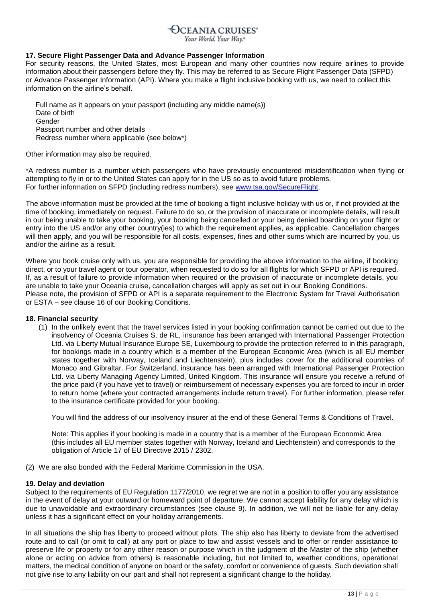# **CEANIA CRUISES®**

Your World. Your Way.\*

# **17. Secure Flight Passenger Data and Advance Passenger Information**

For security reasons, the United States, most European and many other countries now require airlines to provide information about their passengers before they fly. This may be referred to as Secure Flight Passenger Data (SFPD) or Advance Passenger Information (API). Where you make a flight inclusive booking with us, we need to collect this information on the airline's behalf.

Full name as it appears on your passport (including any middle name(s)) Date of birth Gender Passport number and other details Redress number where applicable (see below\*)

Other information may also be required.

\*A redress number is a number which passengers who have previously encountered misidentification when flying or attempting to fly in or to the United States can apply for in the US so as to avoid future problems. For further information on SFPD (including redress numbers), see [www.tsa.gov/SecureFlight.](http://www.tsa.gov/SecureFlight)

The above information must be provided at the time of booking a flight inclusive holiday with us or, if not provided at the time of booking, immediately on request. Failure to do so, or the provision of inaccurate or incomplete details, will result in our being unable to take your booking, your booking being cancelled or your being denied boarding on your flight or entry into the US and/or any other country(ies) to which the requirement applies, as applicable. Cancellation charges will then apply, and you will be responsible for all costs, expenses, fines and other sums which are incurred by you, us and/or the airline as a result.

Where you book cruise only with us, you are responsible for providing the above information to the airline, if booking direct, or to your travel agent or tour operator, when requested to do so for all flights for which SFPD or API is required. If, as a result of failure to provide information when required or the provision of inaccurate or incomplete details, you are unable to take your Oceania cruise, cancellation charges will apply as set out in our Booking Conditions. Please note, the provision of SFPD or API is a separate requirement to the Electronic System for Travel Authorisation or ESTA – see clause 16 of our Booking Conditions.

# **18. Financial security**

(1) In the unlikely event that the travel services listed in your booking confirmation cannot be carried out due to the insolvency of Oceania Cruises S. de RL, insurance has been arranged with International Passenger Protection Ltd. via Liberty Mutual Insurance Europe SE, Luxembourg to provide the protection referred to in this paragraph, for bookings made in a country which is a member of the European Economic Area (which is all EU member states together with Norway, Iceland and Liechtenstein), plus includes cover for the additional countries of Monaco and Gibraltar. For Switzerland, insurance has been arranged with International Passenger Protection Ltd. via Liberty Managing Agency Limited, United Kingdom. This insurance will ensure you receive a refund of the price paid (if you have yet to travel) or reimbursement of necessary expenses you are forced to incur in order to return home (where your contracted arrangements include return travel). For further information, please refer to the insurance certificate provided for your booking.

You will find the address of our insolvency insurer at the end of these General Terms & Conditions of Travel.

Note: This applies if your booking is made in a country that is a member of the European Economic Area (this includes all EU member states together with Norway, Iceland and Liechtenstein) and corresponds to the obligation of Article 17 of EU Directive 2015 / 2302.

(2) We are also bonded with the Federal Maritime Commission in the USA.

# **19. Delay and deviation**

Subject to the requirements of EU Regulation 1177/2010, we regret we are not in a position to offer you any assistance in the event of delay at your outward or homeward point of departure. We cannot accept liability for any delay which is due to unavoidable and extraordinary circumstances (see clause 9). In addition, we will not be liable for any delay unless it has a significant effect on your holiday arrangements.

In all situations the ship has liberty to proceed without pilots. The ship also has liberty to deviate from the advertised route and to call (or omit to call) at any port or place to tow and assist vessels and to offer or render assistance to preserve life or property or for any other reason or purpose which in the judgment of the Master of the ship (whether alone or acting on advice from others) is reasonable including, but not limited to, weather conditions, operational matters, the medical condition of anyone on board or the safety, comfort or convenience of guests. Such deviation shall not give rise to any liability on our part and shall not represent a significant change to the holiday.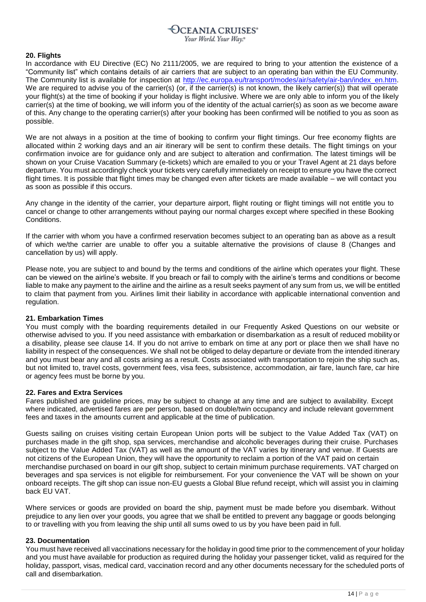

#### **20. Flights**

In accordance with EU Directive (EC) No 2111/2005, we are required to bring to your attention the existence of a "Community list" which contains details of air carriers that are subject to an operating ban within the EU Community. The Community list is available for inspection at [http://ec.europa.eu/transport/modes/air/safety/air-ban/index\\_en.htm.](http://ec.europa.eu/transport/modes/air/safety/air-ban/index_en.htm) We are required to advise you of the carrier(s) (or, if the carrier(s) is not known, the likely carrier(s)) that will operate your flight(s) at the time of booking if your holiday is flight inclusive. Where we are only able to inform you of the likely carrier(s) at the time of booking, we will inform you of the identity of the actual carrier(s) as soon as we become aware of this. Any change to the operating carrier(s) after your booking has been confirmed will be notified to you as soon as possible.

We are not always in a position at the time of booking to confirm your flight timings. Our free economy flights are allocated within 2 working days and an air itinerary will be sent to confirm these details. The flight timings on your confirmation invoice are for guidance only and are subject to alteration and confirmation. The latest timings will be shown on your Cruise Vacation Summary (e-tickets) which are emailed to you or your Travel Agent at 21 days before departure. You must accordingly check your tickets very carefully immediately on receipt to ensure you have the correct flight times. It is possible that flight times may be changed even after tickets are made available – we will contact you as soon as possible if this occurs.

Any change in the identity of the carrier, your departure airport, flight routing or flight timings will not entitle you to cancel or change to other arrangements without paying our normal charges except where specified in these Booking Conditions.

If the carrier with whom you have a confirmed reservation becomes subject to an operating ban as above as a result of which we/the carrier are unable to offer you a suitable alternative the provisions of clause 8 (Changes and cancellation by us) will apply.

Please note, you are subject to and bound by the terms and conditions of the airline which operates your flight. These can be viewed on the airline's website. If you breach or fail to comply with the airline's terms and conditions or become liable to make any payment to the airline and the airline as a result seeks payment of any sum from us, we will be entitled to claim that payment from you. Airlines limit their liability in accordance with applicable international convention and regulation.

# **21. Embarkation Times**

You must comply with the boarding requirements detailed in our Frequently Asked Questions on our website or otherwise advised to you. If you need assistance with embarkation or disembarkation as a result of reduced mobility or a disability, please see clause 14. If you do not arrive to embark on time at any port or place then we shall have no liability in respect of the consequences. We shall not be obliged to delay departure or deviate from the intended itinerary and you must bear any and all costs arising as a result. Costs associated with transportation to rejoin the ship such as, but not limited to, travel costs, government fees, visa fees, subsistence, accommodation, air fare, launch fare, car hire or agency fees must be borne by you.

#### **22. Fares and Extra Services**

Fares published are guideline prices, may be subject to change at any time and are subject to availability. Except where indicated, advertised fares are per person, based on double/twin occupancy and include relevant government fees and taxes in the amounts current and applicable at the time of publication.

Guests sailing on cruises visiting certain European Union ports will be subject to the Value Added Tax (VAT) on purchases made in the gift shop, spa services, merchandise and alcoholic beverages during their cruise. Purchases subject to the Value Added Tax (VAT) as well as the amount of the VAT varies by itinerary and venue. If Guests are not citizens of the European Union, they will have the opportunity to reclaim a portion of the VAT paid on certain merchandise purchased on board in our gift shop, subject to certain minimum purchase requirements. VAT charged on beverages and spa services is not eligible for reimbursement. For your convenience the VAT will be shown on your onboard receipts. The gift shop can issue non-EU guests a Global Blue refund receipt, which will assist you in claiming back EU VAT.

Where services or goods are provided on board the ship, payment must be made before you disembark. Without prejudice to any lien over your goods, you agree that we shall be entitled to prevent any baggage or goods belonging to or travelling with you from leaving the ship until all sums owed to us by you have been paid in full.

# **23. Documentation**

You must have received all vaccinations necessary for the holiday in good time prior to the commencement of your holiday and you must have available for production as required during the holiday your passenger ticket, valid as required for the holiday, passport, visas, medical card, vaccination record and any other documents necessary for the scheduled ports of call and disembarkation.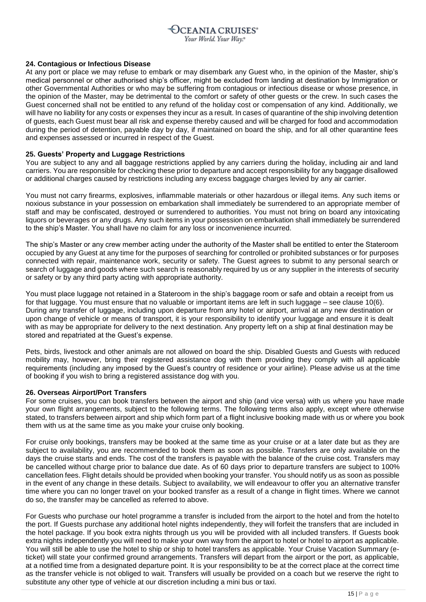# **24. Contagious or Infectious Disease**

At any port or place we may refuse to embark or may disembark any Guest who, in the opinion of the Master, ship's medical personnel or other authorised ship's officer, might be excluded from landing at destination by Immigration or other Governmental Authorities or who may be suffering from contagious or infectious disease or whose presence, in the opinion of the Master, may be detrimental to the comfort or safety of other guests or the crew. In such cases the Guest concerned shall not be entitled to any refund of the holiday cost or compensation of any kind. Additionally, we will have no liability for any costs or expenses they incur as a result. In cases of quarantine of the ship involving detention of guests, each Guest must bear all risk and expense thereby caused and will be charged for food and accommodation during the period of detention, payable day by day, if maintained on board the ship, and for all other quarantine fees and expenses assessed or incurred in respect of the Guest.

# **25. Guests' Property and Luggage Restrictions**

You are subject to any and all baggage restrictions applied by any carriers during the holiday, including air and land carriers. You are responsible for checking these prior to departure and accept responsibility for any baggage disallowed or additional charges caused by restrictions including any excess baggage charges levied by any air carrier.

You must not carry firearms, explosives, inflammable materials or other hazardous or illegal items. Any such items or noxious substance in your possession on embarkation shall immediately be surrendered to an appropriate member of staff and may be confiscated, destroyed or surrendered to authorities. You must not bring on board any intoxicating liquors or beverages or any drugs. Any such items in your possession on embarkation shall immediately be surrendered to the ship's Master. You shall have no claim for any loss or inconvenience incurred.

The ship's Master or any crew member acting under the authority of the Master shall be entitled to enter the Stateroom occupied by any Guest at any time for the purposes of searching for controlled or prohibited substances or for purposes connected with repair, maintenance work, security or safety. The Guest agrees to submit to any personal search or search of luggage and goods where such search is reasonably required by us or any supplier in the interests of security or safety or by any third party acting with appropriate authority.

You must place luggage not retained in a Stateroom in the ship's baggage room or safe and obtain a receipt from us for that luggage. You must ensure that no valuable or important items are left in such luggage – see clause 10(6). During any transfer of luggage, including upon departure from any hotel or airport, arrival at any new destination or upon change of vehicle or means of transport, it is your responsibility to identify your luggage and ensure it is dealt with as may be appropriate for delivery to the next destination. Any property left on a ship at final destination may be stored and repatriated at the Guest's expense.

Pets, birds, livestock and other animals are not allowed on board the ship. Disabled Guests and Guests with reduced mobility may, however, bring their registered assistance dog with them providing they comply with all applicable requirements (including any imposed by the Guest's country of residence or your airline). Please advise us at the time of booking if you wish to bring a registered assistance dog with you.

# **26. Overseas Airport/Port Transfers**

For some cruises, you can book transfers between the airport and ship (and vice versa) with us where you have made your own flight arrangements, subject to the following terms. The following terms also apply, except where otherwise stated, to transfers between airport and ship which form part of a flight inclusive booking made with us or where you book them with us at the same time as you make your cruise only booking.

For cruise only bookings, transfers may be booked at the same time as your cruise or at a later date but as they are subject to availability, you are recommended to book them as soon as possible. Transfers are only available on the days the cruise starts and ends. The cost of the transfers is payable with the balance of the cruise cost. Transfers may be cancelled without charge prior to balance due date. As of 60 days prior to departure transfers are subject to 100% cancellation fees. Flight details should be provided when booking your transfer. You should notify us as soon as possible in the event of any change in these details. Subject to availability, we will endeavour to offer you an alternative transfer time where you can no longer travel on your booked transfer as a result of a change in flight times. Where we cannot do so, the transfer may be cancelled as referred to above.

For Guests who purchase our hotel programme a transfer is included from the airport to the hotel and from the hotelto the port. If Guests purchase any additional hotel nights independently, they will forfeit the transfers that are included in the hotel package. If you book extra nights through us you will be provided with all included transfers. If Guests book extra nights independently you will need to make your own way from the airport to hotel or hotel to airport as applicable. You will still be able to use the hotel to ship or ship to hotel transfers as applicable. Your Cruise Vacation Summary (eticket) will state your confirmed ground arrangements. Transfers will depart from the airport or the port, as applicable, at a notified time from a designated departure point. It is your responsibility to be at the correct place at the correct time as the transfer vehicle is not obliged to wait. Transfers will usually be provided on a coach but we reserve the right to substitute any other type of vehicle at our discretion including a mini bus or taxi.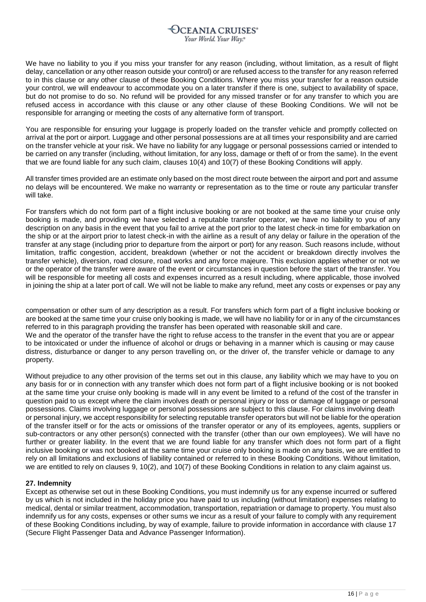We have no liability to you if you miss your transfer for any reason (including, without limitation, as a result of flight delay, cancellation or any other reason outside your control) or are refused access to the transfer for any reason referred to in this clause or any other clause of these Booking Conditions. Where you miss your transfer for a reason outside your control, we will endeavour to accommodate you on a later transfer if there is one, subject to availability of space, but do not promise to do so. No refund will be provided for any missed transfer or for any transfer to which you are refused access in accordance with this clause or any other clause of these Booking Conditions. We will not be responsible for arranging or meeting the costs of any alternative form of transport.

You are responsible for ensuring your luggage is properly loaded on the transfer vehicle and promptly collected on arrival at the port or airport. Luggage and other personal possessions are at all times your responsibility and are carried on the transfer vehicle at your risk. We have no liability for any luggage or personal possessions carried or intended to be carried on any transfer (including, without limitation, for any loss, damage or theft of or from the same). In the event that we are found liable for any such claim, clauses 10(4) and 10(7) of these Booking Conditions will apply.

All transfer times provided are an estimate only based on the most direct route between the airport and port and assume no delays will be encountered. We make no warranty or representation as to the time or route any particular transfer will take.

For transfers which do not form part of a flight inclusive booking or are not booked at the same time your cruise only booking is made, and providing we have selected a reputable transfer operator, we have no liability to you of any description on any basis in the event that you fail to arrive at the port prior to the latest check-in time for embarkation on the ship or at the airport prior to latest check-in with the airline as a result of any delay or failure in the operation of the transfer at any stage (including prior to departure from the airport or port) for any reason. Such reasons include, without limitation, traffic congestion, accident, breakdown (whether or not the accident or breakdown directly involves the transfer vehicle), diversion, road closure, road works and any force majeure. This exclusion applies whether or not we or the operator of the transfer were aware of the event or circumstances in question before the start of the transfer. You will be responsible for meeting all costs and expenses incurred as a result including, where applicable, those involved in joining the ship at a later port of call. We will not be liable to make any refund, meet any costs or expenses or pay any

compensation or other sum of any description as a result. For transfers which form part of a flight inclusive booking or are booked at the same time your cruise only booking is made, we will have no liability for or in any of the circumstances referred to in this paragraph providing the transfer has been operated with reasonable skill and care. We and the operator of the transfer have the right to refuse access to the transfer in the event that you are or appear to be intoxicated or under the influence of alcohol or drugs or behaving in a manner which is causing or may cause distress, disturbance or danger to any person travelling on, or the driver of, the transfer vehicle or damage to any property.

Without prejudice to any other provision of the terms set out in this clause, any liability which we may have to you on any basis for or in connection with any transfer which does not form part of a flight inclusive booking or is not booked at the same time your cruise only booking is made will in any event be limited to a refund of the cost of the transfer in question paid to us except where the claim involves death or personal injury or loss or damage of luggage or personal possessions. Claims involving luggage or personal possessions are subject to this clause. For claims involving death or personal injury, we accept responsibility for selecting reputable transfer operators but will not be liable for the operation of the transfer itself or for the acts or omissions of the transfer operator or any of its employees, agents, suppliers or sub-contractors or any other person(s) connected with the transfer (other than our own employees). We will have no further or greater liability. In the event that we are found liable for any transfer which does not form part of a flight inclusive booking or was not booked at the same time your cruise only booking is made on any basis, we are entitled to rely on all limitations and exclusions of liability contained or referred to in these Booking Conditions. Without limitation, we are entitled to rely on clauses 9, 10(2), and 10(7) of these Booking Conditions in relation to any claim against us.

# **27. Indemnity**

Except as otherwise set out in these Booking Conditions, you must indemnify us for any expense incurred or suffered by us which is not included in the holiday price you have paid to us including (without limitation) expenses relating to medical, dental or similar treatment, accommodation, transportation, repatriation or damage to property. You must also indemnify us for any costs, expenses or other sums we incur as a result of your failure to comply with any requirement of these Booking Conditions including, by way of example, failure to provide information in accordance with clause 17 (Secure Flight Passenger Data and Advance Passenger Information).